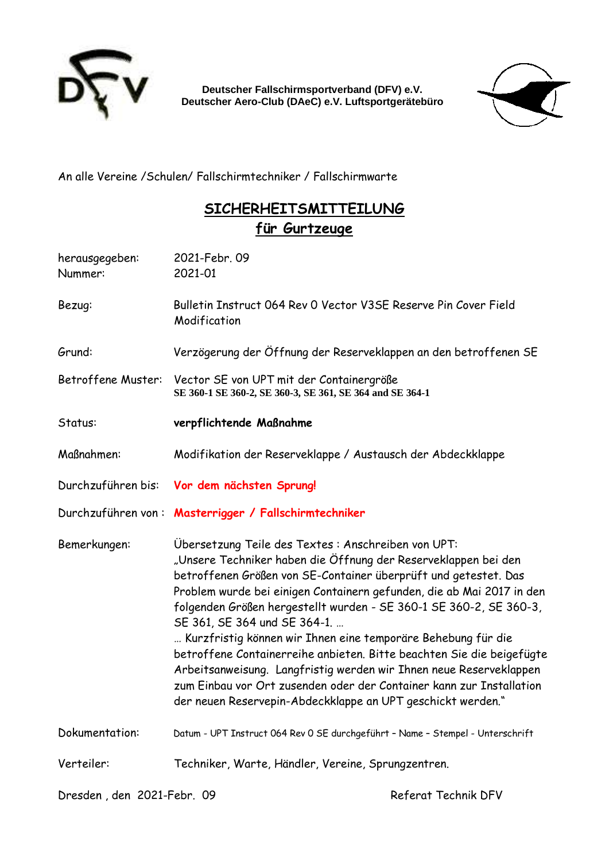

**Deutscher Fallschirmsportverband (DFV) e.V. Deutscher Aero-Club (DAeC) e.V. Luftsportgerätebüro** 



An alle Vereine /Schulen/ Fallschirmtechniker / Fallschirmwarte

## **SICHERHEITSMITTEILUNG für Gurtzeuge**

| herausgegeben:<br>Nummer:  | 2021-Febr. 09<br>2021-01                                                                             |                                                                                                                                                                                                                                                                                                                                                                                                                                                                                                                                                                                                                                        |
|----------------------------|------------------------------------------------------------------------------------------------------|----------------------------------------------------------------------------------------------------------------------------------------------------------------------------------------------------------------------------------------------------------------------------------------------------------------------------------------------------------------------------------------------------------------------------------------------------------------------------------------------------------------------------------------------------------------------------------------------------------------------------------------|
| Bezug:                     | Bulletin Instruct 064 Rev 0 Vector V3SE Reserve Pin Cover Field<br>Modification                      |                                                                                                                                                                                                                                                                                                                                                                                                                                                                                                                                                                                                                                        |
| Grund:                     | Verzögerung der Öffnung der Reserveklappen an den betroffenen SE                                     |                                                                                                                                                                                                                                                                                                                                                                                                                                                                                                                                                                                                                                        |
| Betroffene Muster:         | Vector SE von UPT mit der Containergröße<br>SE 360-1 SE 360-2, SE 360-3, SE 361, SE 364 and SE 364-1 |                                                                                                                                                                                                                                                                                                                                                                                                                                                                                                                                                                                                                                        |
| Status:                    | verpflichtende Maßnahme                                                                              |                                                                                                                                                                                                                                                                                                                                                                                                                                                                                                                                                                                                                                        |
| Maßnahmen:                 |                                                                                                      | Modifikation der Reserveklappe / Austausch der Abdeckklappe                                                                                                                                                                                                                                                                                                                                                                                                                                                                                                                                                                            |
|                            | Durchzuführen bis: Vor dem nächsten Sprung!                                                          |                                                                                                                                                                                                                                                                                                                                                                                                                                                                                                                                                                                                                                        |
|                            | Durchzuführen von: Masterrigger / Fallschirmtechniker                                                |                                                                                                                                                                                                                                                                                                                                                                                                                                                                                                                                                                                                                                        |
| Bemerkungen:               | Übersetzung Teile des Textes: Anschreiben von UPT:<br>SE 361, SE 364 und SE 364-1.                   | "Unsere Techniker haben die Öffnung der Reserveklappen bei den<br>betroffenen Größen von SE-Container überprüft und getestet. Das<br>Problem wurde bei einigen Containern gefunden, die ab Mai 2017 in den<br>folgenden Größen hergestellt wurden - SE 360-1 SE 360-2, SE 360-3,<br>Kurzfristig können wir Ihnen eine temporäre Behebung für die<br>betroffene Containerreihe anbieten. Bitte beachten Sie die beigefügte<br>Arbeitsanweisung. Langfristig werden wir Ihnen neue Reserveklappen<br>zum Einbau vor Ort zusenden oder der Container kann zur Installation<br>der neuen Reservepin-Abdeckklappe an UPT geschickt werden." |
| Dokumentation:             |                                                                                                      | Datum - UPT Instruct 064 Rev 0 SE durchgeführt - Name - Stempel - Unterschrift                                                                                                                                                                                                                                                                                                                                                                                                                                                                                                                                                         |
| Verteiler:                 | Techniker, Warte, Händler, Vereine, Sprungzentren.                                                   |                                                                                                                                                                                                                                                                                                                                                                                                                                                                                                                                                                                                                                        |
| Dresden, den 2021-Febr. 09 |                                                                                                      | Referat Technik DFV                                                                                                                                                                                                                                                                                                                                                                                                                                                                                                                                                                                                                    |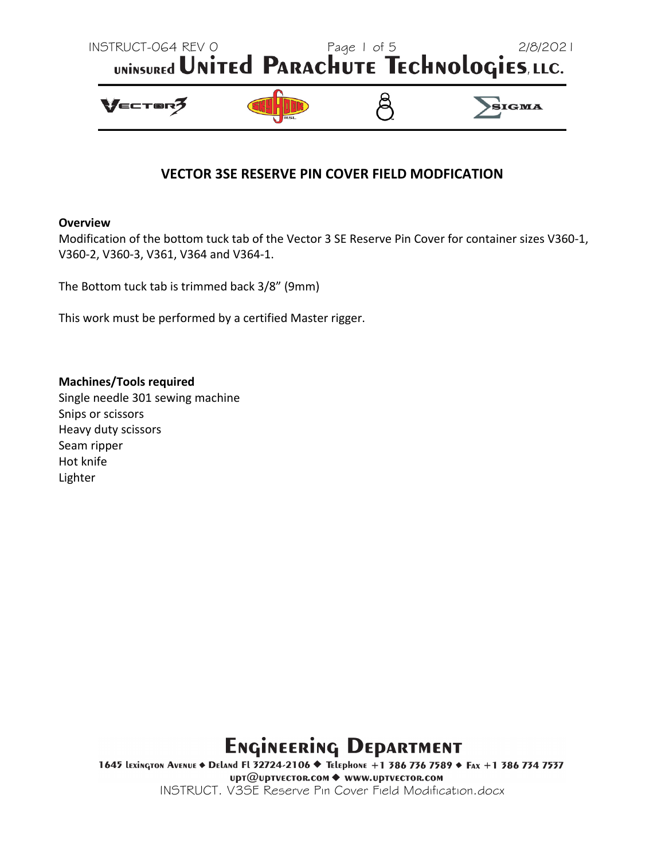

### **VECTOR 3SE RESERVE PIN COVER FIELD MODFICATION**

#### **Overview**

Modification of the bottom tuck tab of the Vector 3 SE Reserve Pin Cover for container sizes V360‐1, V360‐2, V360‐3, V361, V364 and V364‐1.

The Bottom tuck tab is trimmed back 3/8" (9mm)

This work must be performed by a certified Master rigger.

#### **Machines/Tools required**

Single needle 301 sewing machine Snips or scissors Heavy duty scissors Seam ripper Hot knife Lighter

# **ENGINEERING DEPARTMENT**

1645 LEXINGTON AVENUE ◆ DELAND FL 32724-2106 ◆ TELEpHONE +1 386 736 7589 ◆ FAX +1 386 734 7537 upт@uptvEctor.com ◆ www.uptvEctor.com INSTRUCT. V3SE Reserve Pin Cover Field Modification.docx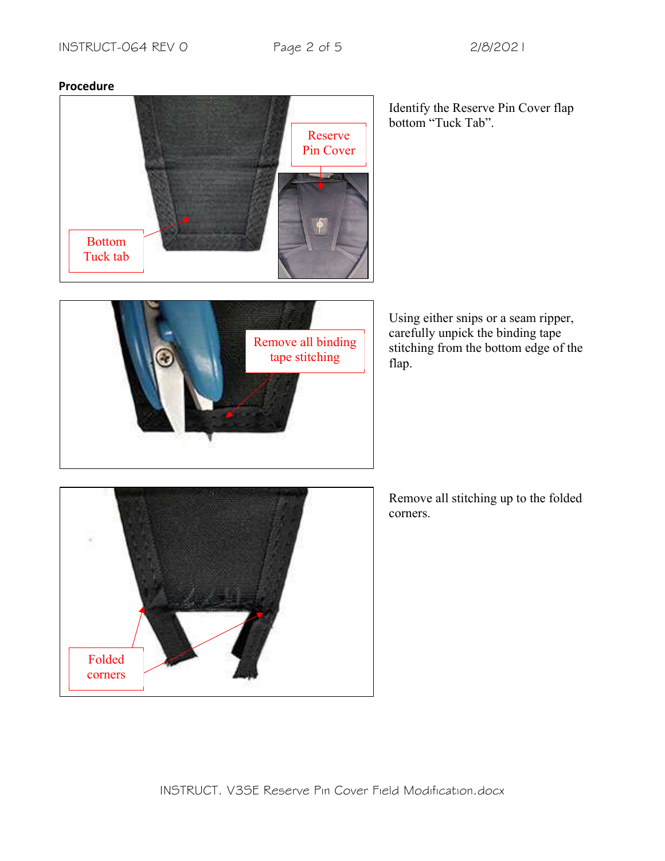





Identify the Reserve Pin Cover flap bottom "Tuck Tab".

Using either snips or a seam ripper, carefully unpick the binding tape stitching from the bottom edge of the flap.



Remove all stitching up to the folded corners.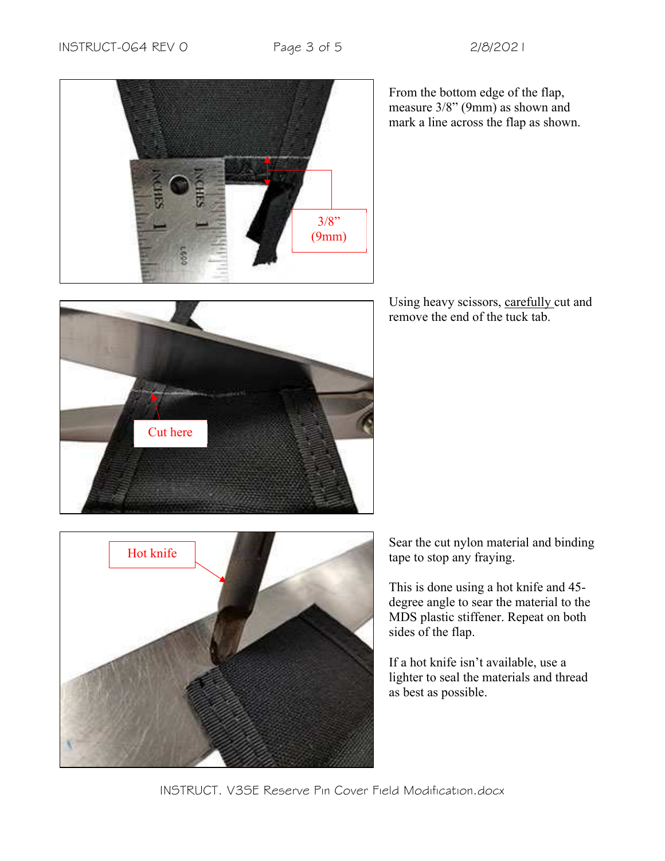



From the bottom edge of the flap, measure 3/8" (9mm) as shown and mark a line across the flap as shown.

Using heavy scissors, carefully cut and remove the end of the tuck tab.



Sear the cut nylon material and binding tape to stop any fraying.

This is done using a hot knife and 45 degree angle to sear the material to the MDS plastic stiffener. Repeat on both sides of the flap.

If a hot knife isn't available, use a lighter to seal the materials and thread as best as possible.

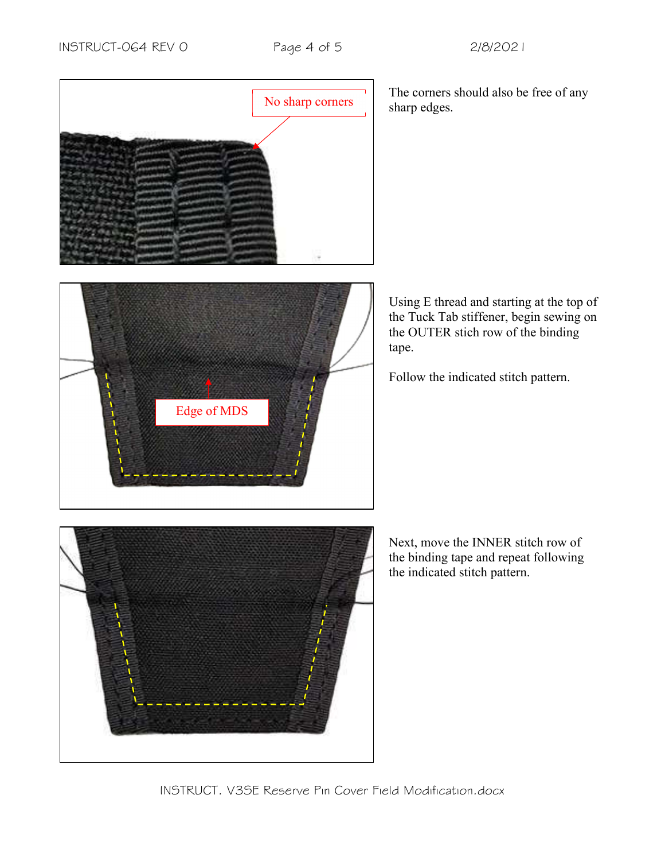

The corners should also be free of any sharp edges.

Using E thread and starting at the top of the Tuck Tab stiffener, begin sewing on the OUTER stich row of the binding tape.

Follow the indicated stitch pattern.

Next, move the INNER stitch row of the binding tape and repeat following the indicated stitch pattern.